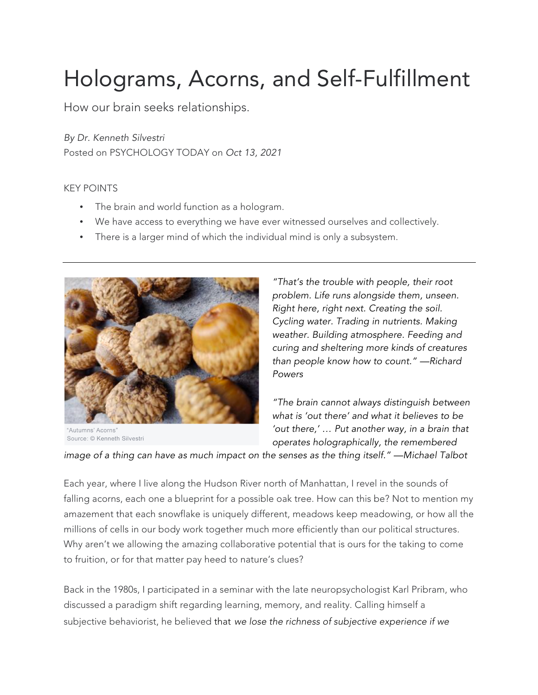## Holograms, Acorns, and Self-Fulfillment

How our brain seeks relationships.

*By Dr. Kenneth Silvestri* Posted on PSYCHOLOGY TODAY on *Oct 13, 2021*

## KEY POINTS

- The brain and world function as a hologram.
- We have access to everything we have ever witnessed ourselves and collectively.
- There is a larger mind of which the individual mind is only a subsystem.



"Autumns' Acorns' Source: © Kenneth Silvestri

*"That's the trouble with people, their root problem. Life runs alongside them, unseen. Right here, right next. Creating the soil. Cycling water. Trading in nutrients. Making weather. Building atmosphere. Feeding and curing and sheltering more kinds of creatures than people know how to count." —Richard Powers*

*"The brain cannot always distinguish between what is 'out there' and what it believes to be 'out there,' … Put another way, in a brain that operates holographically, the remembered* 

*image of a thing can have as much impact on the senses as the thing itself." —Michael Talbot*

Each year, where I live along the Hudson River north of Manhattan, I revel in the sounds of falling acorns, each one a blueprint for a possible oak tree. How can this be? Not to mention my amazement that each snowflake is uniquely different, meadows keep meadowing, or how all the millions of cells in our body work together much more efficiently than our political structures. Why aren't we allowing the amazing collaborative potential that is ours for the taking to come to fruition, or for that matter pay heed to nature's clues?

Back in the 1980s, I participated in a seminar with the late neuropsychologist Karl Pribram, who discussed a paradigm shift regarding learning, memory, and reality. Calling himself a subjective behaviorist, he believed that *we lose the richness of subjective experience if we*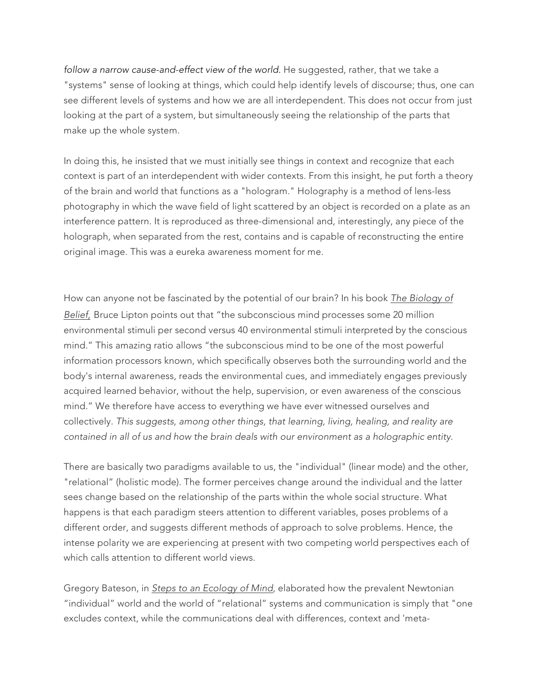*follow a narrow cause-and-effect view of the world*. He suggested, rather, that we take a "systems" sense of looking at things, which could help identify levels of discourse; thus, one can see different levels of systems and how we are all interdependent. This does not occur from just looking at the part of a system, but simultaneously seeing the relationship of the parts that make up the whole system.

In doing this, he insisted that we must initially see things in context and recognize that each context is part of an interdependent with wider contexts. From this insight, he put forth a theory of the brain and world that functions as a "hologram." Holography is a method of lens-less photography in which the wave field of light scattered by an object is recorded on a plate as an interference pattern. It is reproduced as three-dimensional and, interestingly, any piece of the holograph, when separated from the rest, contains and is capable of reconstructing the entire original image. This was a eureka awareness moment for me.

How can anyone not be fascinated by the potential of our brain? In his book *The Biology of Belief,* Bruce Lipton points out that "the subconscious mind processes some 20 million environmental stimuli per second versus 40 environmental stimuli interpreted by the conscious mind." This amazing ratio allows "the subconscious mind to be one of the most powerful information processors known, which specifically observes both the surrounding world and the body's internal awareness, reads the environmental cues, and immediately engages previously acquired learned behavior, without the help, supervision, or even awareness of the conscious mind." We therefore have access to everything we have ever witnessed ourselves and collectively. *This suggests, among other things, that learning, living, healing, and reality are contained in all of us and how the brain deals with our environment as a holographic entity.*

There are basically two paradigms available to us, the "individual" (linear mode) and the other, "relational" (holistic mode). The former perceives change around the individual and the latter sees change based on the relationship of the parts within the whole social structure. What happens is that each paradigm steers attention to different variables, poses problems of a different order, and suggests different methods of approach to solve problems. Hence, the intense polarity we are experiencing at present with two competing world perspectives each of which calls attention to different world views.

Gregory Bateson, in *Steps to an Ecology of Mind*, elaborated how the prevalent Newtonian "individual" world and the world of "relational" systems and communication is simply that "one excludes context, while the communications deal with differences, context and 'meta-